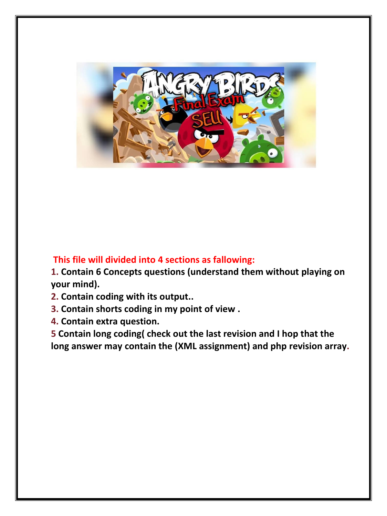

## **This file will divided into 4 sections as fallowing:**

**1. Contain 6 Concepts questions (understand them without playing on your mind).**

- **2. Contain coding with its output..**
- **3. Contain shorts coding in my point of view .**
- **4. Contain extra question.**

**5 Contain long coding( check out the last revision and I hop that the long answer may contain the (XML assignment) and php revision array.**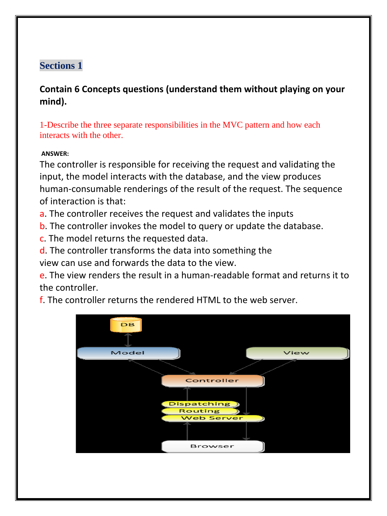# **Sections 1**

**Contain 6 Concepts questions (understand them without playing on your mind).**

1-Describe the three separate responsibilities in the MVC pattern and how each interacts with the other.

## **ANSWER:**

The controller is responsible for receiving the request and validating the input, the model interacts with the database, and the view produces human-consumable renderings of the result of the request. The sequence of interaction is that:

a. The controller receives the request and validates the inputs

b. The controller invokes the model to query or update the database.

c. The model returns the requested data.

d. The controller transforms the data into something the view can use and forwards the data to the view.

e. The view renders the result in a human-readable format and returns it to the controller.

f. The controller returns the rendered HTML to the web server.

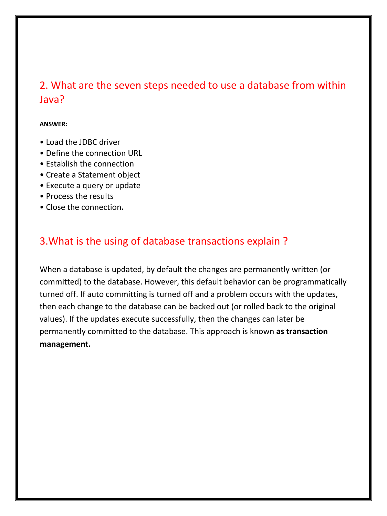# 2. What are the seven steps needed to use a database from within Java?

#### **ANSWER:**

- Load the JDBC driver
- Define the connection URL
- Establish the connection
- Create a Statement object
- Execute a query or update
- Process the results
- Close the connection**.**

# 3.What is the using of database transactions explain ?

When a database is updated, by default the changes are permanently written (or committed) to the database. However, this default behavior can be programmatically turned off. If auto committing is turned off and a problem occurs with the updates, then each change to the database can be backed out (or rolled back to the original values). If the updates execute successfully, then the changes can later be permanently committed to the database. This approach is known **as transaction management.**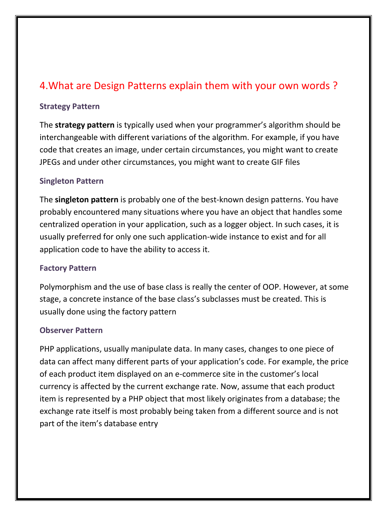# 4.What are Design Patterns explain them with your own words ?

#### **Strategy Pattern**

The **strategy pattern** is typically used when your programmer's algorithm should be interchangeable with different variations of the algorithm. For example, if you have code that creates an image, under certain circumstances, you might want to create JPEGs and under other circumstances, you might want to create GIF files

#### **Singleton Pattern**

The **singleton pattern** is probably one of the best-known design patterns. You have probably encountered many situations where you have an object that handles some centralized operation in your application, such as a logger object. In such cases, it is usually preferred for only one such application-wide instance to exist and for all application code to have the ability to access it.

#### **Factory Pattern**

Polymorphism and the use of base class is really the center of OOP. However, at some stage, a concrete instance of the base class's subclasses must be created. This is usually done using the factory pattern

#### **Observer Pattern**

PHP applications, usually manipulate data. In many cases, changes to one piece of data can affect many different parts of your application's code. For example, the price of each product item displayed on an e-commerce site in the customer's local currency is affected by the current exchange rate. Now, assume that each product item is represented by a PHP object that most likely originates from a database; the exchange rate itself is most probably being taken from a different source and is not part of the item's database entry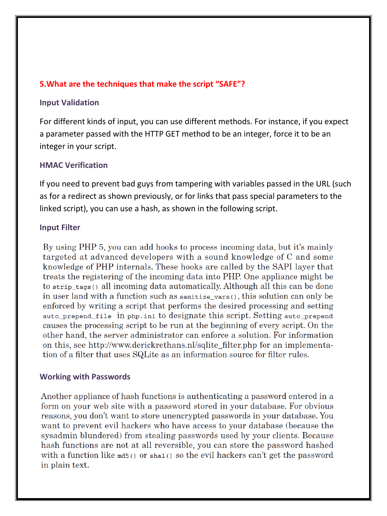#### **5.What are the techniques that make the script "SAFE"?**

#### **Input Validation**

For different kinds of input, you can use different methods. For instance, if you expect a parameter passed with the HTTP GET method to be an integer, force it to be an integer in your script.

#### **HMAC Verification**

If you need to prevent bad guys from tampering with variables passed in the URL (such as for a redirect as shown previously, or for links that pass special parameters to the linked script), you can use a hash, as shown in the following script.

#### **Input Filter**

By using PHP 5, you can add hooks to process incoming data, but it's mainly targeted at advanced developers with a sound knowledge of C and some knowledge of PHP internals. These hooks are called by the SAPI layer that treats the registering of the incoming data into PHP. One appliance might be to strip tags() all incoming data automatically. Although all this can be done in user land with a function such as sanitize vars(), this solution can only be enforced by writing a script that performs the desired processing and setting auto\_prepend\_file in php.ini to designate this script. Setting auto\_prepend causes the processing script to be run at the beginning of every script. On the other hand, the server administrator can enforce a solution. For information on this, see http://www.derickrethans.nl/sqlite filter.php for an implementation of a filter that uses SQLite as an information source for filter rules.

### **Working with Passwords**

Another appliance of hash functions is authenticating a password entered in a form on your web site with a password stored in your database. For obvious reasons, you don't want to store unencrypted passwords in your database. You want to prevent evil hackers who have access to your database (because the sysadmin blundered) from stealing passwords used by your clients. Because hash functions are not at all reversible, you can store the password hashed with a function like  $mds()$  or  $shat()$  so the evil hackers can't get the password in plain text.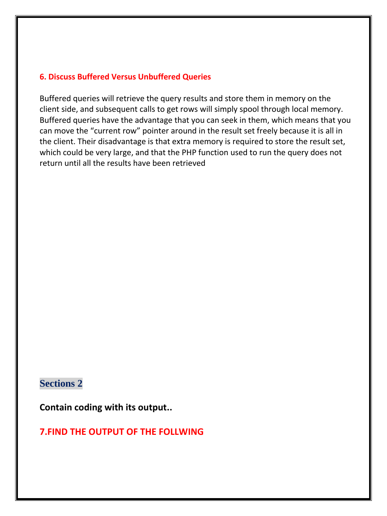#### **6. [Discuss](https://www.google.com.sa/url?sa=t&rct=j&q=&esrc=s&source=web&cd=1&cad=rja&uact=8&ved=0CB4QFjAA&url=http%3A%2F%2Fdictionary.reference.com%2Fbrowse%2Fdiscuss&ei=WZ1rVZDKJY7doASE04PAAg&usg=AFQjCNHSZnPuDdM9TSTC2VVLwMg0q3NkVA&sig2=A3A3Y8XHDc6DWFGUkOmU6Q) Buffered Versus Unbuffered Queries**

Buffered queries will retrieve the query results and store them in memory on the client side, and subsequent calls to get rows will simply spool through local memory. Buffered queries have the advantage that you can seek in them, which means that you can move the "current row" pointer around in the result set freely because it is all in the client. Their disadvantage is that extra memory is required to store the result set, which could be very large, and that the PHP function used to run the query does not return until all the results have been retrieved

## **Sections 2**

**Contain coding with its output..**

**7.FIND THE OUTPUT OF THE FOLLWING**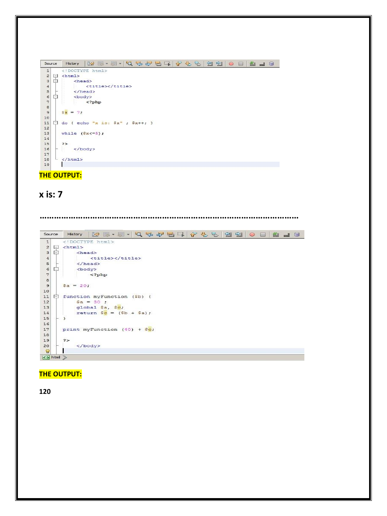| Source        |     | K<br>AAAAH<br>$\gamma$ $\gamma$<br>설 일   0<br>4 J C<br>History<br><b>FREE</b><br>$\rightarrow$ |
|---------------|-----|------------------------------------------------------------------------------------------------|
| $\mathtt 1$   |     | html                                                                                           |
| $\frac{2}{3}$ | ģ   | $<$ html $>$                                                                                   |
|               | ė   | <head></head>                                                                                  |
| $\bf{4}$      |     | <title></title>                                                                                |
| 5             |     | $\langle$ /head>                                                                               |
| $6\n7$        | Ė   | <body></body>                                                                                  |
|               |     | $\langle$ ?php                                                                                 |
| 8             |     |                                                                                                |
| $\mathbf{9}$  |     | $S_{\mathbf{X}} = 7$ ;                                                                         |
| 10            |     |                                                                                                |
| 11            | $-$ | do { echo "x is: $$x"$ ; $$x++;$ }                                                             |
| 12            |     |                                                                                                |
| 13            |     | while $(Sx \leq 5)$ ;                                                                          |
| 14            |     |                                                                                                |
| 15            |     | $\rightarrow$                                                                                  |
| 16            |     |                                                                                                |
| 17            |     |                                                                                                |
| 18            |     |                                                                                                |
| 19            |     |                                                                                                |

**THE OUTPUT:**

## **x is: 7**

**………………………………………………………………………………………………** Source History | @ . . . Q & & B Q ( & & B | 2 2 | 0 0 | 2 1 6 <!DOCTYPE html>  $\overline{1}$  $2 \oplus \text{chtm1}$ <br>3  $\oplus$  <html> <head>  $\,$  4  $\,$ <title></title>  $\langle$ /head>  $\sf{s}$  $\begin{array}{c} 5 \\ 6 \end{array}$  $\frac{\text{y}}{\text{y}}$  $7$  $\epsilon$  $\overline{9}$  $\$a = 20;$  $10<sub>10</sub>$ 11  $\Box$  function myFunction (\$b) {  $\frac{1}{2}$   $\frac{1}{2}$   $\frac{1}{2}$   $\frac{1}{2}$   $\frac{1}{2}$   $\frac{1}{2}$   $\frac{1}{2}$   $\frac{1}{2}$   $\frac{1}{2}$   $\frac{1}{2}$   $\frac{1}{2}$   $\frac{1}{2}$   $\frac{1}{2}$   $\frac{1}{2}$   $\frac{1}{2}$   $\frac{1}{2}$   $\frac{1}{2}$   $\frac{1}{2}$   $\frac{1}{2}$   $\frac{1}{2}$   $\frac{1}{2}$   $\frac{1}{2}$   $12$ global  $\frac{2}{3}$ a,  $\frac{2}{3}$ c;<br>return  $\frac{2}{3}$ c = ( $\frac{2}{3}$ b +  $\frac{2}{3}$ a); 13  $1\,4$  $\rightarrow$  $15$  $16$ print myFunction  $(40) + $c;$ 17  $18\,$  $\rightarrow$ 19 </body>  $20<sub>1</sub>$  $\mathbf{1}$  $\mathbf{Q}$  $\leftrightarrow$  html  $\gg$ 

#### **THE OUTPUT:**

**120**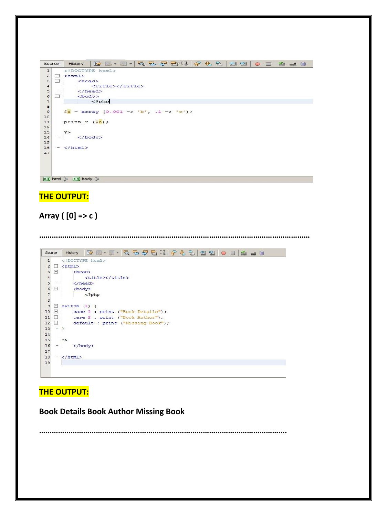| Source              |   | K<br>E-E-Q & & B I & & &<br>21<br>$41$ $-1$ $-$<br>$\circ$<br>History |  |  |
|---------------------|---|-----------------------------------------------------------------------|--|--|
| $\mathtt{1}$        |   | DOCTYPE html                                                          |  |  |
| $\frac{2}{3}$       | 모 | $<$ html>                                                             |  |  |
|                     | 白 | <head></head>                                                         |  |  |
|                     |   | <title></title>                                                       |  |  |
| 4567                |   | $\langle$ /head>                                                      |  |  |
|                     | 白 | <body></body>                                                         |  |  |
|                     |   | $\langle$ ?php                                                        |  |  |
| $\frac{8}{9}$       |   |                                                                       |  |  |
|                     |   | $\frac{1}{2}$ = array (0.001 => 'b', .1 => 'c');                      |  |  |
| 10                  |   |                                                                       |  |  |
| 11                  |   | print $r$ ( $sa$ );                                                   |  |  |
| 12                  |   |                                                                       |  |  |
| 13                  |   | $\geq$                                                                |  |  |
| 14                  |   |                                                                       |  |  |
| 15                  |   |                                                                       |  |  |
| 16<br>17            |   | $\langle$ /html>                                                      |  |  |
|                     |   |                                                                       |  |  |
|                     |   |                                                                       |  |  |
|                     |   |                                                                       |  |  |
|                     |   |                                                                       |  |  |
| <> html > <> body > |   |                                                                       |  |  |

# **THE OUTPUT:**

# **Array ( [0] => c )**

**…………………………………………………………………………………………………………………**

| Source                  |                 | <b>MI.I.Q &amp; &amp; BIQ &amp; &amp; &amp; 220</b><br>8439<br>History |
|-------------------------|-----------------|------------------------------------------------------------------------|
| $\mathbf 1$             |                 | html                                                                   |
| $\overline{\mathbf{c}}$ | $\Box$          | $<$ html>                                                              |
| 3                       | Ė               | <head></head>                                                          |
| $\bf{4}$                |                 | <title></title>                                                        |
| 5                       |                 | $\langle$ /head>                                                       |
| 6                       | 白               | <body></body>                                                          |
| $\overline{7}$          |                 | $\langle$ ?php                                                         |
| 8                       |                 |                                                                        |
| $\overline{9}$          | F               | switch $(1)$ {                                                         |
| 10                      | $\vert - \vert$ | case 1 : print ("Book Details");                                       |
| 11                      | o               | case 2 : print ("Book Author");                                        |
| 12                      | Ė               | default : print ("Missing Book");                                      |
| 13                      |                 | - 3                                                                    |
| 14                      |                 |                                                                        |
| 15                      |                 | $\Rightarrow$                                                          |
| 16                      |                 |                                                                        |
| 17                      |                 |                                                                        |
| 18                      |                 | $\langle$ /html>                                                       |
| 19                      |                 |                                                                        |
|                         |                 |                                                                        |

# **THE OUTPUT:**

L

**Book Details Book Author Missing Book** 

**……………………………………………………………………………………………………….**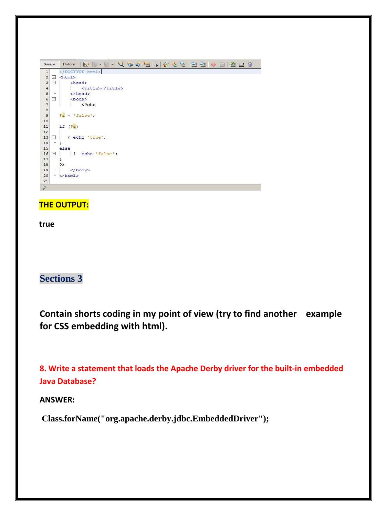| Source                                     |    | $\boxtimes \textcolor{red}{\blacksquare \bullet \textcolor{red}{\blacksquare \bullet \blacksquare \bullet \blacksquare \bullet \blacksquare \bullet \blacksquare \bullet \blacksquare \bullet \blacksquare \bullet \blacksquare \bullet \blacksquare \bullet \blacksquare \bullet \blacksquare \bullet \blacksquare \bullet \blacksquare \bullet \blacksquare \bullet \blacksquare \bullet \blacksquare \bullet \blacksquare \bullet \blacksquare \bullet \blacksquare \bullet \blacksquare \bullet \blacksquare \bullet \blacksquare \bullet \blacksquare \bullet \blacksquare \bullet \blacksquare \bullet \blacksquare \bullet \blacksquare \bullet \blacksquare \bullet \blacksquare \bullet \blacksquare \bullet \blacksquare \bullet \blacksquare \bullet \blacksquare \bullet \$<br>History |
|--------------------------------------------|----|----------------------------------------------------------------------------------------------------------------------------------------------------------------------------------------------------------------------------------------------------------------------------------------------------------------------------------------------------------------------------------------------------------------------------------------------------------------------------------------------------------------------------------------------------------------------------------------------------------------------------------------------------------------------------------------------------------------------------------------------------------------------------------------------------|
| $\mathbf 1$                                |    | html                                                                                                                                                                                                                                                                                                                                                                                                                                                                                                                                                                                                                                                                                                                                                                                               |
| $\overline{c}$                             | 早日 | $<$ html>                                                                                                                                                                                                                                                                                                                                                                                                                                                                                                                                                                                                                                                                                                                                                                                          |
| 3                                          |    | <head></head>                                                                                                                                                                                                                                                                                                                                                                                                                                                                                                                                                                                                                                                                                                                                                                                      |
|                                            |    | <title></title>                                                                                                                                                                                                                                                                                                                                                                                                                                                                                                                                                                                                                                                                                                                                                                                    |
| $\begin{array}{c} 4 \\ 5 \\ 6 \end{array}$ |    |                                                                                                                                                                                                                                                                                                                                                                                                                                                                                                                                                                                                                                                                                                                                                                                                    |
|                                            | E  | <body></body>                                                                                                                                                                                                                                                                                                                                                                                                                                                                                                                                                                                                                                                                                                                                                                                      |
| 7                                          |    | $\langle$ ?php                                                                                                                                                                                                                                                                                                                                                                                                                                                                                                                                                                                                                                                                                                                                                                                     |
| o o                                        |    |                                                                                                                                                                                                                                                                                                                                                                                                                                                                                                                                                                                                                                                                                                                                                                                                    |
|                                            |    | $sa = 'false';$                                                                                                                                                                                                                                                                                                                                                                                                                                                                                                                                                                                                                                                                                                                                                                                    |
| 10                                         |    |                                                                                                                                                                                                                                                                                                                                                                                                                                                                                                                                                                                                                                                                                                                                                                                                    |
| 11                                         |    | if $(Sa)$                                                                                                                                                                                                                                                                                                                                                                                                                                                                                                                                                                                                                                                                                                                                                                                          |
| 12                                         |    |                                                                                                                                                                                                                                                                                                                                                                                                                                                                                                                                                                                                                                                                                                                                                                                                    |
| 13                                         | Ė  | { echo 'true';                                                                                                                                                                                                                                                                                                                                                                                                                                                                                                                                                                                                                                                                                                                                                                                     |
| 14                                         |    | J.                                                                                                                                                                                                                                                                                                                                                                                                                                                                                                                                                                                                                                                                                                                                                                                                 |
| 15                                         |    | else                                                                                                                                                                                                                                                                                                                                                                                                                                                                                                                                                                                                                                                                                                                                                                                               |
| 16                                         | Q  | echo 'false';<br>$\epsilon$                                                                                                                                                                                                                                                                                                                                                                                                                                                                                                                                                                                                                                                                                                                                                                        |
| 17                                         |    | ž.                                                                                                                                                                                                                                                                                                                                                                                                                                                                                                                                                                                                                                                                                                                                                                                                 |
| 18                                         |    | $\rightarrow$                                                                                                                                                                                                                                                                                                                                                                                                                                                                                                                                                                                                                                                                                                                                                                                      |
| 19                                         |    |                                                                                                                                                                                                                                                                                                                                                                                                                                                                                                                                                                                                                                                                                                                                                                                                    |
| 20                                         |    | $\langle / \text{html} \rangle$                                                                                                                                                                                                                                                                                                                                                                                                                                                                                                                                                                                                                                                                                                                                                                    |
| 21                                         |    |                                                                                                                                                                                                                                                                                                                                                                                                                                                                                                                                                                                                                                                                                                                                                                                                    |
| $\geqslant$                                |    |                                                                                                                                                                                                                                                                                                                                                                                                                                                                                                                                                                                                                                                                                                                                                                                                    |
|                                            |    |                                                                                                                                                                                                                                                                                                                                                                                                                                                                                                                                                                                                                                                                                                                                                                                                    |

### **THE OUTPUT:**

**true**

# **Sections 3**

**Contain shorts coding in my point of view (try to find another example for CSS embedding with html).**

**8. Write a statement that loads the Apache Derby driver for the built-in embedded Java Database?**

#### **ANSWER:**

**Class.forName("org.apache.derby.jdbc.EmbeddedDriver");**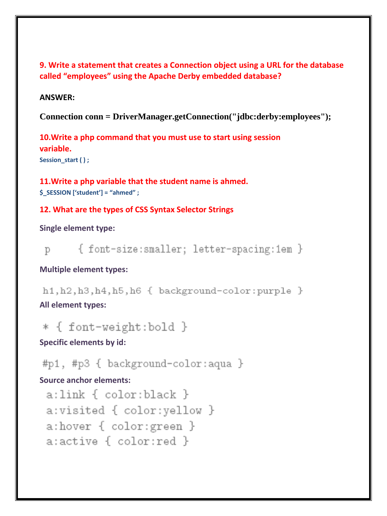**9. Write a statement that creates a Connection object using a URL for the database called "employees" using the Apache Derby embedded database?**

#### **ANSWER:**

**Connection conn = DriverManager.getConnection("jdbc:derby:employees");**

**10.Write a php command that you must use to start using session variable.** Session start ( ) ;

**11.Write a php variable that the student name is ahmed. \$\_SESSION ['student'] = "ahmed" ;** 

#### **12. What are the types of CSS Syntax Selector Strings**

**Single element type:**

{ font-size:smaller; letter-spacing:1em } D

#### **Multiple element types:**

h1, h2, h3, h4, h5, h6 { background-color: purple } **All element types:**

\* { font-weight:bold }

**Specific elements by id:**

#p1, #p3 { background-color:aqua }

## **Source anchor elements:**

a:link { color:black } a:visited { color:yellow } a:hover { color:green } a:active { color:red }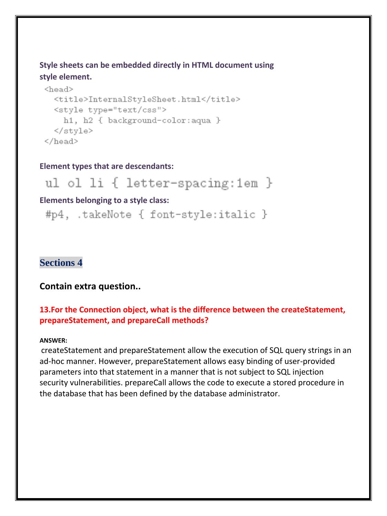**Style sheets can be embedded directly in HTML document using style element.**

```
<head><title>InternalStyleSheet.html</title>
  <style type="text/css">
    h1, h2 { background-color: aqua }
  </style>
</head>
```
#### **Element types that are descendants:**

ul ol li { letter-spacing:1em }

#### **Elements belonging to a style class:**

#p4, .takeNote { font-style:italic }

## **Sections 4**

#### **Contain extra question..**

#### **13.For the Connection object, what is the difference between the createStatement, prepareStatement, and prepareCall methods?**

#### **ANSWER:**

createStatement and prepareStatement allow the execution of SQL query strings in an ad-hoc manner. However, prepareStatement allows easy binding of user-provided parameters into that statement in a manner that is not subject to SQL injection security vulnerabilities. prepareCall allows the code to execute a stored procedure in the database that has been defined by the database administrator.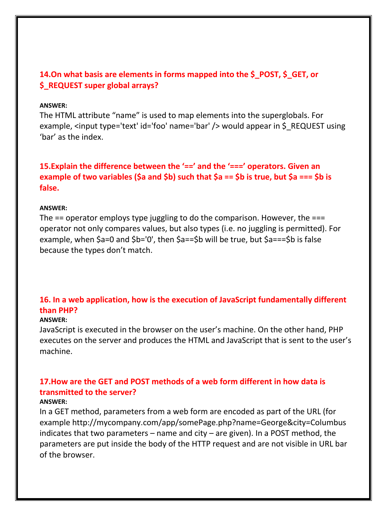### **14.On what basis are elements in forms mapped into the \$\_POST, \$\_GET, or \$\_REQUEST super global arrays?**

#### **ANSWER:**

The HTML attribute "name" is used to map elements into the superglobals. For example, <input type='text' id='foo' name='bar' /> would appear in \$ REQUEST using 'bar' as the index.

**15.Explain the difference between the '==' and the '===' operators. Given an example of two variables (\$a and \$b) such that \$a == \$b is true, but \$a === \$b is false.** 

#### **ANSWER:**

The  $==$  operator employs type juggling to do the comparison. However, the  $==$ operator not only compares values, but also types (i.e. no juggling is permitted). For example, when \$a=0 and \$b='0', then \$a==\$b will be true, but \$a===\$b is false because the types don't match.

## **16. In a web application, how is the execution of JavaScript fundamentally different than PHP?**

#### **ANSWER:**

JavaScript is executed in the browser on the user's machine. On the other hand, PHP executes on the server and produces the HTML and JavaScript that is sent to the user's machine.

# **17.How are the GET and POST methods of a web form different in how data is transmitted to the server?**

#### **ANSWER:**

In a GET method, parameters from a web form are encoded as part of the URL (for example http://mycompany.com/app/somePage.php?name=George&city=Columbus indicates that two parameters – name and city – are given). In a POST method, the parameters are put inside the body of the HTTP request and are not visible in URL bar of the browser.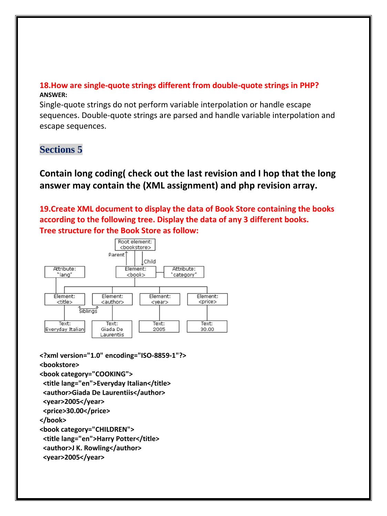### **18.How are single-quote strings different from double-quote strings in PHP? ANSWER:**

Single-quote strings do not perform variable interpolation or handle escape sequences. Double-quote strings are parsed and handle variable interpolation and escape sequences.

# **Sections 5**

**Contain long coding( check out the last revision and I hop that the long answer may contain the (XML assignment) and php revision array.**

**19.Create XML document to display the data of Book Store containing the books according to the following tree. Display the data of any 3 different books. Tree structure for the Book Store as follow:**



**<?xml version="1.0" encoding="ISO-8859-1"?> <bookstore> <book category="COOKING">**

```
 <title lang="en">Everyday Italian</title>
```

```
 <author>Giada De Laurentiis</author>
```

```
 <year>2005</year>
```

```
 <price>30.00</price>
```
**</book>**

**<book category="CHILDREN">**

```
 <title lang="en">Harry Potter</title>
```

```
 <author>J K. Rowling</author>
```

```
 <year>2005</year>
```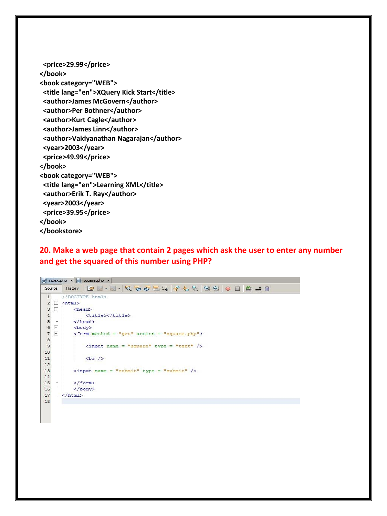```
 <price>29.99</price>
</book>
<book category="WEB">
  <title lang="en">XQuery Kick Start</title>
  <author>James McGovern</author>
  <author>Per Bothner</author>
  <author>Kurt Cagle</author>
  <author>James Linn</author>
  <author>Vaidyanathan Nagarajan</author>
  <year>2003</year>
  <price>49.99</price>
</book>
<book category="WEB">
  <title lang="en">Learning XML</title>
  <author>Erik T. Ray</author>
  <year>2003</year>
  <price>39.95</price>
</book>
</bookstore>
```
#### **20. Make a web page that contain 2 pages which ask the user to enter any number and get the squared of this number using PHP?**

```
\frac{1}{\log 2} index.php \left| \mathbf{x} \right| \frac{1}{\log 2} square.php \left| \mathbf{x} \right|Source History | Q B · 5 · Q 및 D 급 및 A 및 업 기 수 및 업 업 | O 디 | 설 급 G
           \texttt{<!DOCTYPE} html>
   1\begin{array}{c}\n2 \quad \Box \quad \text{chtm1} \\
3 \quad \Box \quad \text{ch}\n\end{array}<head>
                         <title></title>
  4<br>
5<br>
6<br>
7<br>
8<br>
7<br>
8<br>
94\overline{ }</head>
                <body>
                  \leq form method = "get" action = "square.php">
   \mathbf{8}\langleinput name = "square" type = "text" />
   \,91011\,\text{chr}/\text{ }12\langleinput name = "submit" type = "submit" />
 13
 14\,15\langle/form>
 16</body>
        \left| \frac{\langle \rangle \rangle}{\langle \rangle \rangle}17\,18
```